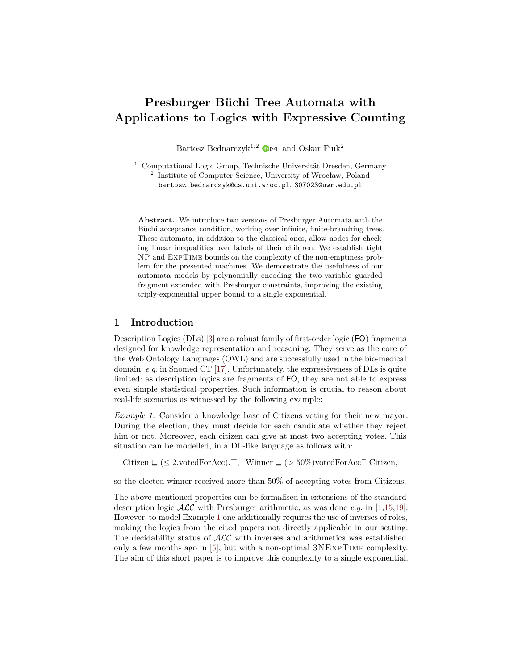# **Presburger Büchi Tree Automata with Applications to Logics with Expressive Counting**

[B](http://orcid.org/0000-0002-8267-7554)artosz Bednarczyk<sup>1,2</sup>  $\bullet$  and Oskar Fiuk<sup>2</sup>

<sup>1</sup> Computational Logic Group, Technische Universität Dresden, Germany 2 Institute of Computer Science, University of Wrocław, Poland bartosz.bednarczyk@cs.uni.wroc.pl, 307023@uwr.edu.pl

**Abstract.** We introduce two versions of Presburger Automata with the Büchi acceptance condition, working over infinite, finite-branching trees. These automata, in addition to the classical ones, allow nodes for checking linear inequalities over labels of their children. We establish tight NP and ExpTime bounds on the complexity of the non-emptiness problem for the presented machines. We demonstrate the usefulness of our automata models by polynomially encoding the two-variable guarded fragment extended with Presburger constraints, improving the existing triply-exponential upper bound to a single exponential.

# **1 Introduction**

Description Logics (DLs) [\[3\]](#page-12-0) are a robust family of first-order logic (FO) fragments designed for knowledge representation and reasoning. They serve as the core of the Web Ontology Languages (OWL) and are successfully used in the bio-medical domain, *e*.*g*. in Snomed CT [\[17\]](#page-12-1). Unfortunately, the expressiveness of DLs is quite limited: as description logics are fragments of FO, they are not able to express even simple statistical properties. Such information is crucial to reason about real-life scenarios as witnessed by the following example:

<span id="page-0-0"></span>*Example 1.* Consider a knowledge base of Citizens voting for their new mayor. During the election, they must decide for each candidate whether they reject him or not. Moreover, each citizen can give at most two accepting votes. This situation can be modelled, in a DL-like language as follows with:

Citizen  $\subseteq (\leq 2$ *.votedForAcc*).  $\top$ *,* Winner  $\subseteq (\geq 50\%)$ votedForAcc<sup>-</sup>.Citizen*,* 

so the elected winner received more than 50% of accepting votes from Citizens.

The above-mentioned properties can be formalised in extensions of the standard description logic ALC with Presburger arithmetic, as was done *e*.*g*. in [\[1](#page-12-2)[,15](#page-12-3)[,19\]](#page-12-4). However, to model Example [1](#page-0-0) one additionally requires the use of inverses of roles, making the logics from the cited papers not directly applicable in our setting. The decidability status of  $\text{ALC}$  with inverses and arithmetics was established only a few months ago in [\[5\]](#page-12-5), but with a non-optimal 3NExpTime complexity. The aim of this short paper is to improve this complexity to a single exponential.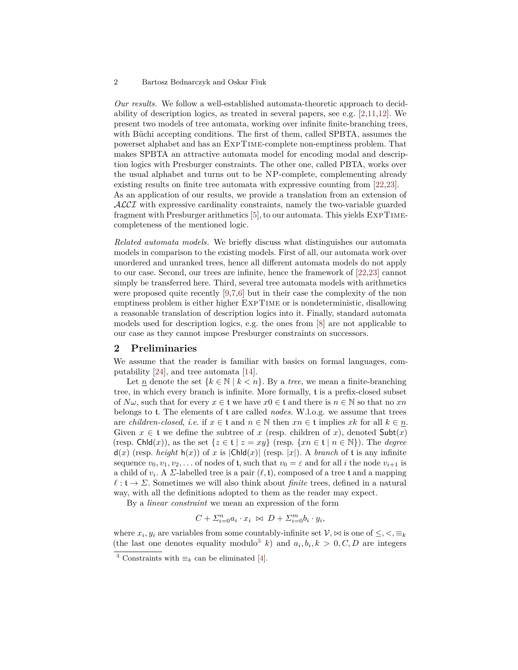*Our results.* We follow a well-established automata-theoretic approach to decidability of description logics, as treated in several papers, see e.g.  $[2,11,12]$  $[2,11,12]$  $[2,11,12]$ . We present two models of tree automata, working over infinite finite-branching trees, with Büchi accepting conditions. The first of them, called SPBTA, assumes the powerset alphabet and has an ExpTime-complete non-emptiness problem. That makes SPBTA an attractive automata model for encoding modal and description logics with Presburger constraints. The other one, called PBTA, works over the usual alphabet and turns out to be NP-complete, complementing already existing results on finite tree automata with expressive counting from [\[22,](#page-13-0)[23\]](#page-13-1). As an application of our results, we provide a translation from an extension of

ALCI with expressive cardinality constraints, namely the two-variable guarded fragment with Presburger arithmetics [\[5\]](#page-12-5), to our automata. This yields ExpTimecompleteness of the mentioned logic.

*Related automata models.* We briefly discuss what distinguishes our automata models in comparison to the existing models. First of all, our automata work over unordered and unranked trees, hence all different automata models do not apply to our case. Second, our trees are infinite, hence the framework of [\[22](#page-13-0)[,23\]](#page-13-1) cannot simply be transferred here. Third, several tree automata models with arithmetics were proposed quite recently [\[9,](#page-12-9)[7,](#page-12-10)[6\]](#page-12-11) but in their case the complexity of the non emptiness problem is either higher ExpTime or is nondeterministic, disallowing a reasonable translation of description logics into it. Finally, standard automata models used for description logics, e.g. the ones from [\[8\]](#page-12-12) are not applicable to our case as they cannot impose Presburger constraints on successors.

# <span id="page-1-1"></span>**2 Preliminaries**

We assume that the reader is familiar with basics on formal languages, computability [\[24\]](#page-13-2), and tree automata [\[14\]](#page-12-13).

Let  $\underline{n}$  denote the set  $\{k \in \mathbb{N} \mid k < n\}$ . By a *tree*, we mean a finite-branching tree, in which every branch is infinite. More formally, t is a prefix-closed subset of  $N\omega$ , such that for every  $x \in \mathfrak{t}$  we have  $x0 \in \mathfrak{t}$  and there is  $n \in \mathbb{N}$  so that no  $xn$ belongs to t. The elements of t are called *nodes*. W.l.o.g. we assume that trees are *children-closed*, *i.e.* if  $x \in \mathfrak{t}$  and  $n \in \mathbb{N}$  then  $xn \in \mathfrak{t}$  implies  $xk$  for all  $k \in \underline{n}$ . Given  $x \in \mathfrak{t}$  we define the subtree of  $x$  (resp. children of  $x$ ), denoted  $\mathsf{Subt}(x)$ (resp. Chld $(x)$ ), as the set  $\{z \in \mathfrak{t} \mid z = xy\}$  (resp.  $\{xn \in \mathfrak{t} \mid n \in \mathbb{N}\}\)$ ). The *degree*  $d(x)$  (resp. *height*  $h(x)$ ) of *x* is  $|Chld(x)|$  (resp.  $|x|$ ). A *branch* of t is any infinite sequence  $v_0, v_1, v_2, \ldots$  of nodes of **t**, such that  $v_0 = \varepsilon$  and for all *i* the node  $v_{i+1}$  is a child of  $v_i$ . A *Σ*-labelled tree is a pair  $(\ell, \mathfrak{t})$ , composed of a tree  $\mathfrak{t}$  and a mapping  $\ell : \mathfrak{t} \to \Sigma$ . Sometimes we will also think about *finite* trees, defined in a natural way, with all the definitions adopted to them as the reader may expect.

By a *linear constraint* we mean an expression of the form

$$
C + \sum_{i=0}^{n} a_i \cdot x_i \bowtie D + \sum_{i=0}^{m} b_i \cdot y_i,
$$

where  $x_i, y_i$  are variables from some countably-infinite set  $\mathcal{V}, \bowtie$  is one of  $\leq, \leq, \equiv_k$ (the last one denotes equality modulo<sup>[3](#page-1-0)</sup> *k*) and  $a_i, b_i, k > 0, C, D$  are integers

<span id="page-1-0"></span><sup>&</sup>lt;sup>3</sup> Constraints with  $\equiv_k$  can be eliminated [\[4\]](#page-12-14).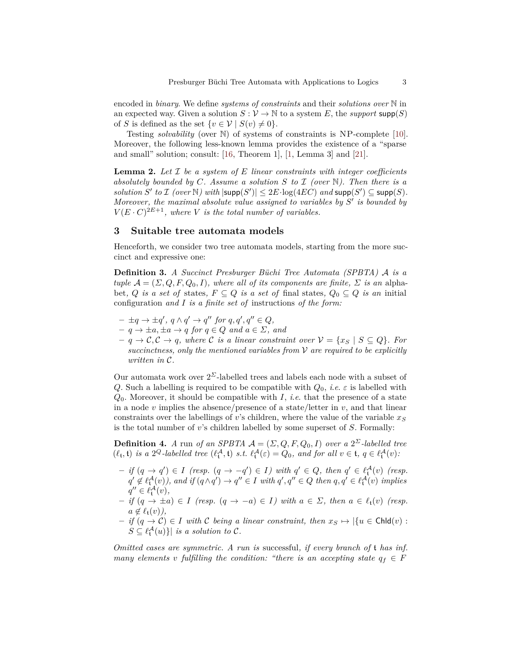encoded in *binary*. We define *systems of constraints* and their *solutions over* N in an expected way. Given a solution  $S: V \to \mathbb{N}$  to a system E, the *support* supp $(S)$ of *S* is defined as the set  $\{v \in \mathcal{V} \mid S(v) \neq 0\}.$ 

Testing *solvability* (over N) of systems of constraints is NP-complete [\[10\]](#page-12-15). Moreover, the following less-known lemma provides the existence of a "sparse and small" solution; consult: [\[16,](#page-12-16) Theorem 1], [\[1,](#page-12-2) Lemma 3] and [\[21\]](#page-12-17).

<span id="page-2-0"></span>**Lemma 2.** *Let* I *be a system of E linear constraints with integer coefficients absolutely bounded by*  $C$ *. Assume a solution*  $S$  *to*  $I$  *(over*  $N$ *). Then there is a*  $solution S'$  *to*  $\mathcal I$  *(over*  $\mathbb N$ *)* with  $|\textsf{supp}(S')| \leq 2E \cdot \log(4EC)$  *and*  $\textsf{supp}(S') \subseteq \textsf{supp}(S)$ *. Moreover, the maximal absolute value assigned to variables by*  $S'$  *is bounded by*  $V(E \cdot C)^{2E+1}$ , where *V is the total number of variables.* 

## **3 Suitable tree automata models**

Henceforth, we consider two tree automata models, starting from the more succinct and expressive one:

**Definition 3.** *A Succinct Presburger Büchi Tree Automata (SPBTA)* A *is a tuple*  $\mathcal{A} = (\Sigma, Q, F, Q_0, I)$ *, where all of its components are finite,*  $\Sigma$  *is an alpha*bet*, Q is a set of* states,  $F \subseteq Q$  *is a set of* final states,  $Q_0 \subseteq Q$  *is an* initial configuration *and I is a finite set of* instructions *of the form:*

- $\pm q \rightarrow \pm q'$ ,  $q \wedge q' \rightarrow q''$  for  $q, q', q'' \in Q$ ,
- $-q \rightarrow \pm a, \pm a \rightarrow q \text{ for } q \in Q \text{ and } a \in \Sigma, \text{ and}$
- $q \rightarrow C, C \rightarrow q$ , where C is a linear constraint over  $V = \{x_S \mid S \subseteq Q\}$ . For *succinctness, only the mentioned variables from* V *are required to be explicitly written in* C*.*

Our automata work over  $2^{\Sigma}$ -labelled trees and labels each node with a subset of *Q*. Such a labelling is required to be compatible with  $Q_0$ , *i.e. ε* is labelled with *Q*0. Moreover, it should be compatible with *I*, *i*.*e*. that the presence of a state in a node  $v$  implies the absence/presence of a state/letter in  $v$ , and that linear constraints over the labellings of *v*'s children, where the value of the variable  $x<sub>S</sub>$ is the total number of *v*'s children labelled by some superset of *S*. Formally:

**Definition 4.** *A* run *of an SPBTA*  $A = (\Sigma, Q, F, Q_0, I)$  *over a*  $2^{\Sigma}$ -labelled tree  $(\ell_t, \mathfrak{t})$  *is a*  $2^Q$ -labelled tree  $(\ell_t^{\mathcal{A}}, \mathfrak{t})$  *s.t.*  $\ell_t^{\mathcal{A}}(\varepsilon) = Q_0$ *, and for all*  $v \in \mathfrak{t}, q \in \ell_t^{\mathcal{A}}(v)$ *:* 

- $-$  *if*  $(q \rightarrow q') \in I$  (resp.  $(q \rightarrow -q') \in I$ ) with  $q' \in Q$ , then  $q' \in \ell^{\mathcal{A}}_t(v)$  (resp.  $q' \notin \ell^{\mathcal{A}}_t(v)$ , and if  $(q \wedge q') \rightarrow q'' \in I$  with  $q', q'' \in Q$  then  $q, q' \in \ell^{\mathcal{A}}_t(v)$  implies  $q'' \in \ell^{\mathcal{A}}_{\mathfrak{t}}(v),$
- $\overrightarrow{f}$  *if*  $(q \rightarrow \pm a) \in I$  *(resp.*  $(q \rightarrow -a) \in I$ *)* with  $a \in \Sigma$ *, then*  $a \in \ell_t(v)$  *(resp.*)  $a \notin \ell_{\mathfrak{t}}(v)$ ,
- $-$  *if*  $(q \rightarrow C) \in I$  *with C being a linear constraint, then*  $x_S \mapsto |{u \in \text{Chld}(v) : u \in \text{Chld}(v)}|$  $S \subseteq \ell^{\mathcal{A}}_{\mathbf{t}}(u)$ }| *is a solution to*  $\mathcal{C}$ *.*

*Omitted cases are symmetric. A run is* successful*, if every branch of* t *has inf. many* elements *v fulfilling* the condition: "there is an accepting state  $q_f \in F$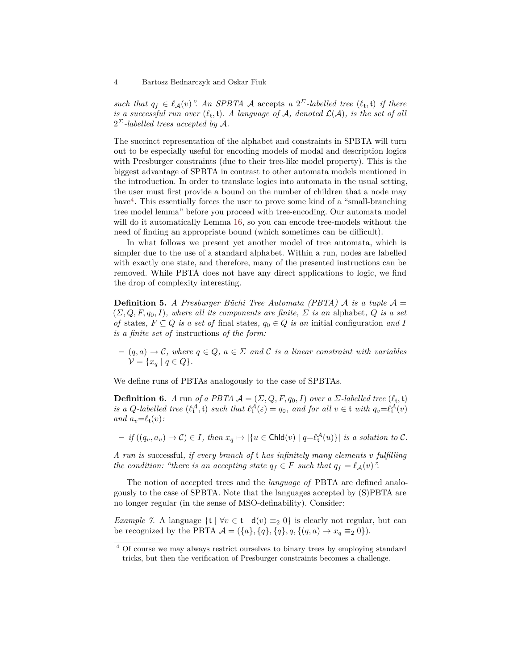*such that*  $q_f \in \ell_A(v)$ ". An SPBTA A accepts *a*  $2^{\Sigma}$ -labelled tree  $(\ell_t, t)$  *if there is a successful run over*  $(\ell_t, \mathfrak{t})$ *. A language of*  $\mathcal{A}$ *, denoted*  $\mathcal{L}(\mathcal{A})$ *, is the set of all*  $2^{\Sigma}$ -labelled trees accepted by A.

The succinct representation of the alphabet and constraints in SPBTA will turn out to be especially useful for encoding models of modal and description logics with Presburger constraints (due to their tree-like model property). This is the biggest advantage of SPBTA in contrast to other automata models mentioned in the introduction. In order to translate logics into automata in the usual setting, the user must first provide a bound on the number of children that a node may have<sup>[4](#page-3-0)</sup>. This essentially forces the user to prove some kind of a "small-branching" tree model lemma" before you proceed with tree-encoding. Our automata model will do it automatically Lemma [16,](#page-6-0) so you can encode tree-models without the need of finding an appropriate bound (which sometimes can be difficult).

In what follows we present yet another model of tree automata, which is simpler due to the use of a standard alphabet. Within a run, nodes are labelled with exactly one state, and therefore, many of the presented instructions can be removed. While PBTA does not have any direct applications to logic, we find the drop of complexity interesting.

**Definition 5.** *A Presburger Büchi Tree Automata (PBTA) A is a tuple*  $\mathcal{A} =$  $(\Sigma, Q, F, q_0, I)$ *, where all its components are finite,*  $\Sigma$  *is an alphabet, Q is a set of* states,  $F \subseteq Q$  *is a set of* final states,  $q_0 \in Q$  *is an* initial configuration *and I is a finite set of* instructions *of the form:*

 $(q, a) \rightarrow C$ *, where*  $q \in Q$ *,*  $a \in \Sigma$  and C is a linear constraint with variables  $\mathcal{V} = \{x_q \mid q \in Q\}.$ 

We define runs of PBTAs analogously to the case of SPBTAs.

**Definition 6.** *A* run *of a PBTA*  $\mathcal{A} = (\Sigma, Q, F, q_0, I)$  *over a*  $\Sigma$ -labelled tree  $(\ell_t, t)$ *is a Q*-labelled tree  $(\ell^{\mathcal{A}}_t, \mathfrak{t})$  *such that*  $\ell^{\mathcal{A}}_t(\varepsilon) = q_0$ *, and for all*  $v \in \mathfrak{t}$  *with*  $q_v = \ell^{\mathcal{A}}_t(v)$ *and*  $a_v = \ell_t(v)$ *:* 

 $-$  *if*  $((q_v, a_v) \to \mathcal{C}) \in I$ , then  $x_q \mapsto |\{u \in \text{Chld}(v) \mid q = \ell_t^{\mathcal{A}}(u)\}|$  is a solution to  $\mathcal{C}$ .

*A run is* successful*, if every branch of* t *has infinitely many elements v fulfilling the condition: "there is an accepting state*  $q_f \in F$  *such that*  $q_f = \ell_A(v)$ ".

The notion of accepted trees and the *language of* PBTA are defined analogously to the case of SPBTA. Note that the languages accepted by (S)PBTA are no longer regular (in the sense of MSO-definability). Consider:

*Example 7.* A language  $\{t \mid \forall v \in t \mid d(v) \equiv_2 0\}$  is clearly not regular, but can be recognized by the PBTA  $A = (\{a\}, \{q\}, \{q\}, q, \{(q, a) \to x_q \equiv_2 0\}).$ 

<span id="page-3-0"></span><sup>&</sup>lt;sup>4</sup> Of course we may always restrict ourselves to binary trees by employing standard tricks, but then the verification of Presburger constraints becomes a challenge.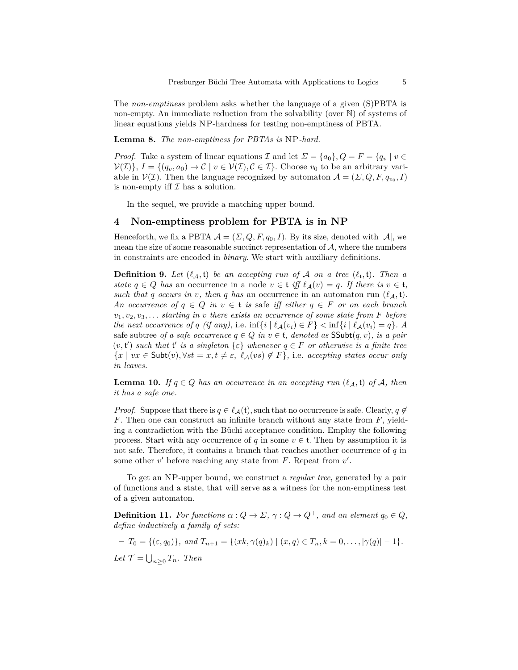<span id="page-4-0"></span>The *non-emptiness* problem asks whether the language of a given (S)PBTA is non-empty. An immediate reduction from the solvability (over N) of systems of linear equations yields NP-hardness for testing non-emptiness of PBTA.

**Lemma 8.** *The non-emptiness for PBTAs is* NP*-hard.*

*Proof.* Take a system of linear equations  $\mathcal I$  and let  $\Sigma = \{a_0\}$ ,  $Q = F = \{q_v \mid v \in$  $V(\mathcal{I})$ *}*,  $I = \{(q_v, a_0) \to \mathcal{C} \mid v \in V(\mathcal{I}), \mathcal{C} \in \mathcal{I}\}$ . Choose  $v_0$  to be an arbitrary variable in  $V(\mathcal{I})$ . Then the language recognized by automaton  $\mathcal{A} = (\mathcal{I}, Q, F, q_{v_0}, I)$ is non-empty iff  $\mathcal I$  has a solution.

In the sequel, we provide a matching upper bound.

# **4 Non-emptiness problem for PBTA is in NP**

Henceforth, we fix a PBTA  $A = (\Sigma, Q, F, q_0, I)$ . By its size, denoted with  $|A|$ , we mean the size of some reasonable succinct representation of  $A$ , where the numbers in constraints are encoded in *binary*. We start with auxiliary definitions.

**Definition 9.** Let  $(\ell_A, t)$  be an accepting run of A on a tree  $(\ell_t, t)$ . Then a *state*  $q \in Q$  *has* an occurrence in a node  $v \in \mathfrak{t}$  *iff*  $\ell_A(v) = q$ *. If there is*  $v \in \mathfrak{t}$ *, such that q occurs in v, then q has* an occurrence in an automaton run  $(\ell_A, t)$ . *An occurrence of*  $q \in Q$  *in*  $v \in \mathfrak{t}$  *is* safe *iff either*  $q \in F$  *or on each branch*  $v_1, v_2, v_3, \ldots$  *starting in v there exists an occurrence of some state from F before the next occurrence of q (if any),* i.e.  $\inf\{i \mid \ell_{\mathcal{A}}(v_i) \in F\} < \inf\{i \mid \ell_{\mathcal{A}}(v_i) = q\}$ . A safe subtree *of a safe occurrence*  $q \in Q$  *in*  $v \in \mathfrak{t}$ *, denoted as*  $\mathsf{SSubt}(q, v)$ *, is a pair*  $(v, t')$  *such that*  $t'$  *is a singleton*  $\{\varepsilon\}$  *whenever*  $q \in F$  *or otherwise is a finite tree*  ${x \mid vx \in Subt(v), \forall st = x, t \neq \varepsilon, \ell_{\mathcal{A}}(vs) \notin F}$ , i.e. accepting states occur only *in leaves.*

**Lemma 10.** *If*  $q \in Q$  *has an occurrence in an accepting run*  $(\ell_A, \mathfrak{t})$  *of* A, *then it has a safe one.*

*Proof.* Suppose that there is  $q \in \ell_A(\mathfrak{t})$ , such that no occurrence is safe. Clearly,  $q \notin$ *F*. Then one can construct an infinite branch without any state from *F*, yielding a contradiction with the Büchi acceptance condition. Employ the following process. Start with any occurrence of *q* in some  $v \in \mathfrak{t}$ . Then by assumption it is not safe. Therefore, it contains a branch that reaches another occurrence of *q* in some other  $v'$  before reaching any state from  $F$ . Repeat from  $v'$ .

To get an NP-upper bound, we construct a *regular tree*, generated by a pair of functions and a state, that will serve as a witness for the non-emptiness test of a given automaton.

**Definition 11.** For functions  $\alpha$  :  $Q \to \Sigma$ ,  $\gamma$  :  $Q \to Q^+$ , and an element  $q_0 \in Q$ , *define inductively a family of sets:*

$$
-T_0 = \{(\varepsilon, q_0)\}, \text{ and } T_{n+1} = \{(xk, \gamma(q)_k) \mid (x, q) \in T_n, k = 0, \dots, |\gamma(q)| - 1\}.
$$
  
Let  $\mathcal{T} = \bigcup_{n \geq 0} T_n$ . Then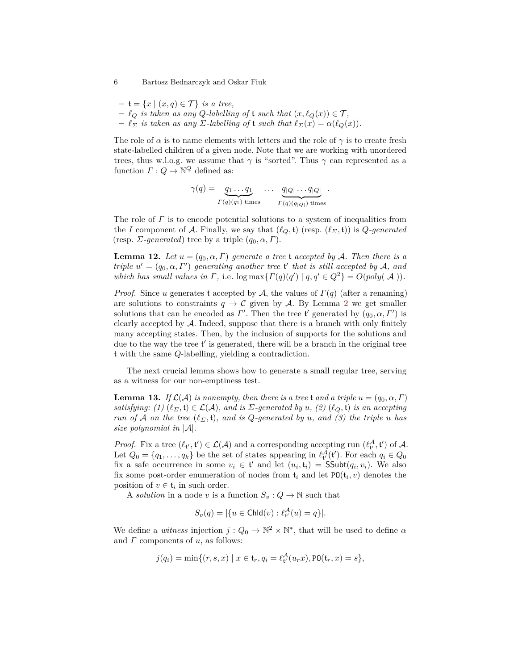- $-$  **t** =  $\{x \mid (x, q) \in \mathcal{T}\}\$  *is a tree,*
- $\ell_Q$  *is taken as any Q*-labelling of t *such that*  $(x, \ell_Q(x)) \in \mathcal{T}$ ,
- $-\ell_{\Sigma}$  *is taken as any*  $\Sigma$ -labelling of **t** such that  $\ell_{\Sigma}(x) = \alpha(\ell_{\Omega}(x))$ .

The role of  $\alpha$  is to name elements with letters and the role of  $\gamma$  is to create fresh state-labelled children of a given node. Note that we are working with unordered trees, thus w.l.o.g. we assume that  $\gamma$  is "sorted". Thus  $\gamma$  can represented as a function  $\Gamma: Q \to \mathbb{N}^Q$  defined as:

$$
\gamma(q) = \underbrace{q_1 \dots q_1}_{\Gamma(q)(q_1) \text{ times}} \dots \underbrace{q_{|Q|} \dots q_{|Q|}}_{\Gamma(q)(q_{|Q|}) \text{ times}}.
$$

The role of *Γ* is to encode potential solutions to a system of inequalities from the *I* component of A. Finally, we say that  $(\ell_{\mathcal{O}}, \mathfrak{t})$  (resp.  $(\ell_{\Sigma}, \mathfrak{t})$ ) is  $Q$ *-generated* (resp. *Σ-generated*) tree by a triple  $(q_0, \alpha, \Gamma)$ .

<span id="page-5-0"></span>**Lemma 12.** Let  $u = (q_0, \alpha, \Gamma)$  generate a tree t accepted by A. Then there is a *triple*  $u' = (q_0, \alpha, \Gamma')$  generating another tree t' that is still accepted by A, and *which has small values in*  $\Gamma$ , i.e.  $\log \max\{\Gamma(q)(q') \mid q, q' \in Q^2\} = O(poly(|A|)).$ 

*Proof.* Since *u* generates t accepted by A, the values of *Γ*(*q*) (after a renaming) are solutions to constraints  $q \to \mathcal{C}$  given by A. By Lemma [2](#page-2-0) we get smaller solutions that can be encoded as  $\Gamma'$ . Then the tree t' generated by  $(q_0, \alpha, \Gamma')$  is clearly accepted by A. Indeed, suppose that there is a branch with only finitely many accepting states. Then, by the inclusion of supports for the solutions and due to the way the tree  $t'$  is generated, there will be a branch in the original tree t with the same *Q*-labelling, yielding a contradiction.

The next crucial lemma shows how to generate a small regular tree, serving as a witness for our non-emptiness test.

<span id="page-5-1"></span>**Lemma 13.** *If*  $\mathcal{L}(\mathcal{A})$  *is nonempty, then there is a tree* t *and a triple*  $u = (q_0, \alpha, \Gamma)$ *satisfying:* (1)  $(\ell_{\Sigma}, \mathfrak{t}) \in \mathcal{L}(\mathcal{A})$ , and is  $\Sigma$ -generated by  $u$ , (2)  $(\ell_{Q}, \mathfrak{t})$  *is an accepting run of A on the tree*  $(\ell_{\Sigma}, \mathfrak{t})$ *, and is Q*-generated by *u, and* (3) the triple *u* has *size polynomial in* |A|*.*

*Proof.* Fix a tree  $(\ell_{t'}, t') \in \mathcal{L}(\mathcal{A})$  and a corresponding accepting run  $(\ell_{t'}^{\mathcal{A}}, t')$  of  $\mathcal{A}$ . Let  $Q_0 = \{q_1, \ldots, q_k\}$  be the set of states appearing in  $\ell_t^{\mathcal{A}}(t')$ . For each  $q_i \in Q_0$ fix a safe occurrence in some  $v_i \in \mathfrak{t}'$  and let  $(u_i, \mathfrak{t}_i) = \mathsf{SSubt}(q_i, v_i)$ . We also fix some post-order enumeration of nodes from  $\mathfrak{t}_i$  and let  $PO(\mathfrak{t}_i, v)$  denotes the position of  $v \in \mathfrak{t}_i$  in such order.

A *solution* in a node *v* is a function  $S_v: Q \to \mathbb{N}$  such that

$$
S_v(q) = |\{u \in \mathsf{Chld}(v) : \ell_{\mathsf{t}'}^{\mathcal{A}}(u) = q\}|.
$$

We define a *witness* injection  $j: Q_0 \to \mathbb{N}^2 \times \mathbb{N}^*$ , that will be used to define  $\alpha$ and *Γ* components of *u*, as follows:

$$
j(q_i) = \min\{(r, s, x) \mid x \in \mathfrak{t}_r, q_i = \ell^{\mathcal{A}}_{\mathfrak{t}'}(u_r x), \text{PO}(\mathfrak{t}_r, x) = s\},\
$$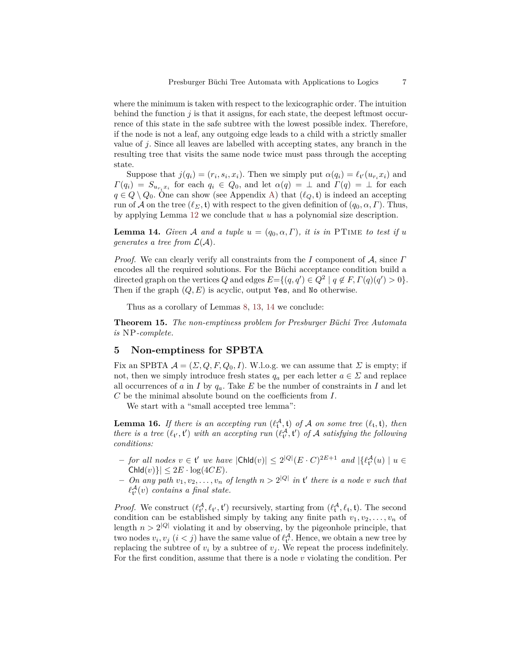where the minimum is taken with respect to the lexicographic order. The intuition behind the function *j* is that it assigns, for each state, the deepest leftmost occurrence of this state in the safe subtree with the lowest possible index. Therefore, if the node is not a leaf, any outgoing edge leads to a child with a strictly smaller value of *j*. Since all leaves are labelled with accepting states, any branch in the resulting tree that visits the same node twice must pass through the accepting state.

Suppose that  $j(q_i) = (r_i, s_i, x_i)$ . Then we simply put  $\alpha(q_i) = \ell_{t'}(u_{r_i}x_i)$  and  $\Gamma(q_i) = S_{u_{r_i}x_i}$  for each  $q_i \in Q_0$ , and let  $\alpha(q) = \perp$  and  $\Gamma(q) = \perp$  for each *q* ∈ *Q* \ *Q*<sub>0</sub>. One can show (see Appendix [A\)](#page-14-0) that ( $\ell$ <sub>*Q*</sub>, **t**) is indeed an accepting run of A on the tree  $(\ell_{\Sigma}, \mathfrak{t})$  with respect to the given definition of  $(q_0, \alpha, \Gamma)$ . Thus, by applying Lemma [12](#page-5-0) we conclude that *u* has a polynomial size description.

<span id="page-6-1"></span>**Lemma 14.** *Given* A *and a tuple*  $u = (q_0, \alpha, \Gamma)$ *, it is in* PTIME *to test if u generates a tree from*  $\mathcal{L}(\mathcal{A})$ *.* 

*Proof.* We can clearly verify all constraints from the *I* component of A, since *Γ* encodes all the required solutions. For the Büchi acceptance condition build a directed graph on the vertices *Q* and edges  $E = \{(q, q') \in Q^2 \mid q \notin F, \Gamma(q)(q') > 0\}.$ Then if the graph  $(Q, E)$  is acyclic, output Yes, and No otherwise.

Thus as a corollary of Lemmas [8,](#page-4-0) [13,](#page-5-1) [14](#page-6-1) we conclude:

**Theorem 15.** *The non-emptiness problem for Presburger Büchi Tree Automata is* NP*-complete.*

## <span id="page-6-2"></span>**5 Non-emptiness for SPBTA**

Fix an SPBTA  $A = (\Sigma, Q, F, Q_0, I)$ . W.l.o.g. we can assume that  $\Sigma$  is empty; if not, then we simply introduce fresh states  $q_a$  per each letter  $a \in \Sigma$  and replace all occurrences of  $a$  in  $I$  by  $q_a$ . Take  $E$  be the number of constraints in  $I$  and let *C* be the minimal absolute bound on the coefficients from *I*.

We start with a "small accepted tree lemma":

<span id="page-6-0"></span>**Lemma 16.** If there is an accepting run  $(\ell_t^{\mathcal{A}}, \mathbf{t})$  of  $\mathcal{A}$  on some tree  $(\ell_t, \mathbf{t})$ , then *there is a tree*  $(\ell_{t'}, t')$  *with an accepting run*  $(\ell_{t'}^{\mathcal{A}}, t')$  *of*  $\mathcal{A}$  *satisfying the following conditions:*

- $-$  *for all nodes*  $v \in \mathfrak{t}'$  *we have*  $|\text{Chld}(v)| \leq 2^{|Q|} (E \cdot C)^{2E+1}$  *and*  $|\{\ell^{\mathcal{A}}_{\mathfrak{t}'}(u) \mid u \in \mathfrak{t}'$  $\text{Chld}(v)$ } $\leq 2E \cdot \log(4CE)$ .
- $P On$  any path  $v_1, v_2, \ldots, v_n$  of length  $n > 2^{|Q|}$  in  $\mathfrak{t}'$  there is a node  $v$  such that  $\ell^{\mathcal{A}}_{\mathfrak{t}'}(v)$  *contains a final state.*

*Proof.* We construct  $(\ell_t^{\mathcal{A}}, \ell_t, t')$  recursively, starting from  $(\ell_t^{\mathcal{A}}, \ell_t, t)$ . The second condition can be established simply by taking any finite path  $v_1, v_2, \ldots, v_n$  of length  $n > 2^{|Q|}$  violating it and by observing, by the pigeonhole principle, that two nodes  $v_i, v_j$   $(i < j)$  have the same value of  $\ell_t^{\mathcal{A}}$ . Hence, we obtain a new tree by replacing the subtree of  $v_i$  by a subtree of  $v_j$ . We repeat the process indefinitely. For the first condition, assume that there is a node *v* violating the condition. Per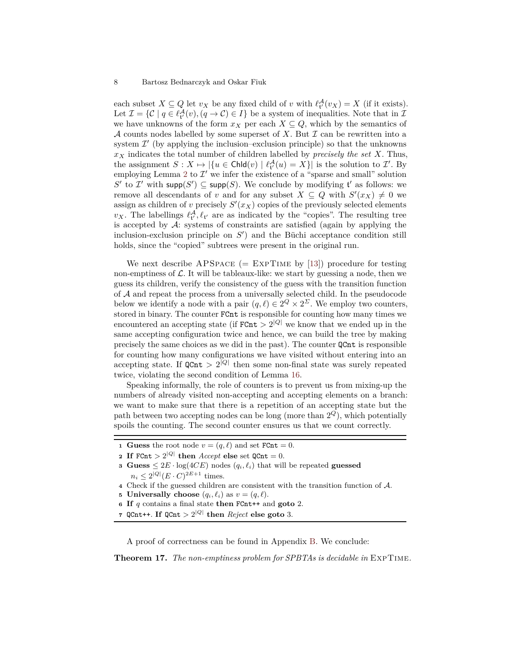each subset  $X \subseteq Q$  let  $v_X$  be any fixed child of  $v$  with  $\ell_t^{\mathcal{A}}(v_X) = X$  (if it exists). Let  $\mathcal{I} = \{ \mathcal{C} \mid q \in \ell^{\mathcal{A}}_{t'}(v), (q \to \mathcal{C}) \in I \}$  be a system of inequalities. Note that in  $\mathcal{I}$ we have unknowns of the form  $x_X$  per each  $X \subseteq Q$ , which by the semantics of A counts nodes labelled by some superset of  $X$ . But  $\mathcal I$  can be rewritten into a system  $\mathcal{I}'$  (by applying the inclusion–exclusion principle) so that the unknowns  $x<sub>X</sub>$  indicates the total number of children labelled by *precisely the set X*. Thus, the assignment  $S: X \mapsto |\{u \in \mathsf{Chld}(v) \mid \ell^{\mathcal{A}}_{t'}(u) = X\}|$  is the solution to  $\mathcal{I}'$ . By employing Lemma [2](#page-2-0) to  $\mathcal{I}'$  we infer the existence of a "sparse and small" solution S' to I' with  $\textsf{supp}(S') \subseteq \textsf{supp}(S)$ . We conclude by modifying t' as follows: we remove all descendants of *v* and for any subset  $X \subseteq Q$  with  $S'(x_X) \neq 0$  we assign as children of *v* precisely  $S'(x_X)$  copies of the previously selected elements  $v_X$ . The labellings  $\ell_t^{\mathcal{A}}, \ell_{t'}$  are as indicated by the "copies". The resulting tree is accepted by  $\mathcal{A}$ : systems of constraints are satisfied (again by applying the inclusion-exclusion principle on  $S'$ ) and the Büchi acceptance condition still holds, since the "copied" subtrees were present in the original run.

We next describe  $APSPACE$  (= EXPTIME by [\[13\]](#page-12-18)) procedure for testing non-emptiness of  $\mathcal{L}$ . It will be tableaux-like: we start by guessing a node, then we guess its children, verify the consistency of the guess with the transition function of A and repeat the process from a universally selected child. In the pseudocode below we identify a node with a pair  $(q, \ell) \in 2^Q \times 2^{\Sigma}$ . We employ two counters, stored in binary. The counter FCnt is responsible for counting how many times we encountered an accepting state (if  $F\text{Cnt} > 2^{|Q|}$  we know that we ended up in the same accepting configuration twice and hence, we can build the tree by making precisely the same choices as we did in the past). The counter QCnt is responsible for counting how many configurations we have visited without entering into an accepting state. If  $Q\text{Cnt} > 2^{|Q|}$  then some non-final state was surely repeated twice, violating the second condition of Lemma [16.](#page-6-0)

Speaking informally, the role of counters is to prevent us from mixing-up the numbers of already visited non-accepting and accepting elements on a branch: we want to make sure that there is a repetition of an accepting state but the path between two accepting nodes can be long (more than 2 *<sup>Q</sup>*), which potentially spoils the counting. The second counter ensures us that we count correctly.

- **1 Guess** the root node  $v = (q, \ell)$  and set  $F$ **Cnt** = 0.
- **2 If** FCnt  $> 2^{|Q|}$  **then** *Accept* **else** set  $Q$ Cnt = 0.
- **3 Guess**  $\leq 2E \cdot \log(4CE)$  nodes  $(q_i, \ell_i)$  that will be repeated **guessed**  $n_i \leq 2^{|Q|} (E \cdot C)^{2E+1}$  times.
- **<sup>4</sup>** Check if the guessed children are consistent with the transition function of A.
- **5 Universally choose**  $(q_i, \ell_i)$  as  $v = (q, \ell)$ .
- **<sup>6</sup> If** *q* contains a final state **then** FCnt++ and **goto** 2.
- **7** QCnt++. If  $Q\text{Cnt} > 2^{|Q|}$  then *Reject* else goto 3.

A proof of correctness can be found in Appendix [B.](#page-14-1) We conclude:

**Theorem 17.** *The non-emptiness problem for SPBTAs is decidable in* ExpTime*.*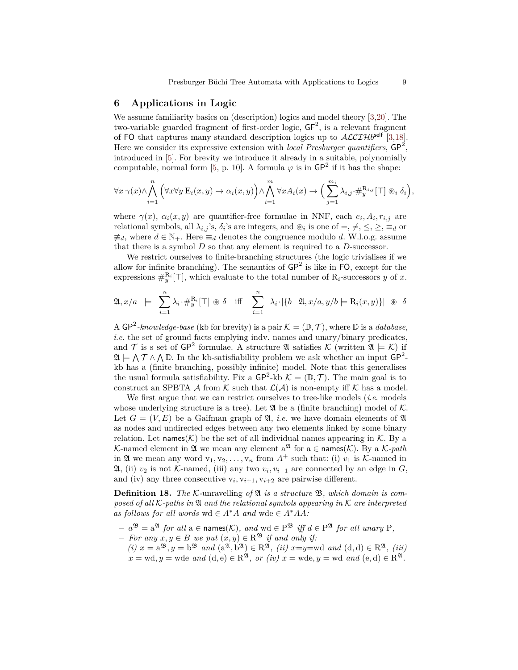## **6 Applications in Logic**

We assume familiarity basics on (description) logics and model theory [\[3,](#page-12-0)[20\]](#page-12-19). The two-variable guarded fragment of first-order logic,  $GF^2$ , is a relevant fragment of FO that captures many standard description logics up to  $\mathcal{ALCIH}^{self}$  [\[3](#page-12-0)[,18\]](#page-12-20). Here we consider its expressive extension with *local Presburger quantifiers*,  $GP^2$ , introduced in [\[5\]](#page-12-5). For brevity we introduce it already in a suitable, polynomially computable, normal form [\[5,](#page-12-5) p. 10]. A formula  $\varphi$  is in  $\mathsf{GP}^2$  if it has the shape:

$$
\forall x \ \gamma(x) \land \bigwedge_{i=1}^{n} \left( \forall x \forall y \ E_i(x, y) \to \alpha_i(x, y) \right) \land \bigwedge_{i=1}^{m} \forall x A_i(x) \to \Big( \sum_{j=1}^{m_i} \lambda_{i,j} \cdot \#_{y}^{\mathrm{R}_{i,j}}[\top] \circledast_i \delta_i \Big),
$$

where  $\gamma(x)$ ,  $\alpha_i(x, y)$  are quantifier-free formulae in NNF, each  $e_i$ ,  $A_i$ ,  $r_{i,j}$  are relational symbols, all  $\lambda_{i,j}$ 's,  $\delta_i$ 's are integers, and  $\otimes_i$  is one of  $=$ ,  $\neq$ ,  $\leq$ ,  $\geq$ ,  $\equiv_d$  or  $\neq d$ , where  $d \in \mathbb{N}_+$ . Here  $\equiv_d$  denotes the congruence modulo *d*. W.l.o.g. assume that there is a symbol *D* so that any element is required to a *D*-successor.

We restrict ourselves to finite-branching structures (the logic trivialises if we allow for infinite branching). The semantics of  $\mathsf{GP}^2$  is like in FO, except for the expressions  $\#_{y}^{\{R_i\}}[T]$ , which evaluate to the total number of  $R_i$ -successors *y* of *x*.

$$
\mathfrak{A}, x/a \ \models \ \sum_{i=1}^n \lambda_i \cdot \#^{\mathrm{R}_i}_y[\top] \circledast \delta \quad \text{iff} \quad \sum_{i=1}^n \ \lambda_i \cdot |\{b \mid \mathfrak{A}, x/a, y/b \models \mathrm{R}_i(x, y)\}| \circledast \delta
$$

A  $\mathsf{GP}^2\text{-}knowledge\text{-}base$  (kb for brevity) is a pair  $\mathcal{K} = (\mathbb{D}, \mathcal{T})$ , where  $\mathbb D$  is a *database*, *i.e.* the set of ground facts emplying indv. names and unary/binary predicates, and T is s set of  $\mathsf{GP}^2$  formulae. A structure  $\mathfrak A$  satisfies K (written  $\mathfrak A \models \mathcal K$ ) if  $\mathfrak{A} \models \bigwedge \mathcal{T} \wedge \bigwedge \mathbb{D}$ . In the kb-satisfiability problem we ask whether an input  $\mathsf{GP}^2$ kb has a (finite branching, possibly infinite) model. Note that this generalises the usual formula satisfiability. Fix a  $\mathsf{GP}^2$ -kb  $\mathcal{K} = (\mathbb{D}, \mathcal{T})$ . The main goal is to construct an SPBTA A from  $K$  such that  $\mathcal{L}(\mathcal{A})$  is non-empty iff K has a model.

We first argue that we can restrict ourselves to tree-like models (*i*.*e*. models whose underlying structure is a tree). Let  $\mathfrak A$  be a (finite branching) model of K. Let  $G = (V, E)$  be a Gaifman graph of  $\mathfrak{A}$ , *i.e.* we have domain elements of  $\mathfrak{A}$ as nodes and undirected edges between any two elements linked by some binary relation. Let names( $K$ ) be the set of all individual names appearing in K. By a K-named element in  $\mathfrak A$  we mean any element  $a^{\mathfrak A}$  for  $a \in \mathsf{names}(\mathcal K)$ . By a K-path in  $\mathfrak A$  we mean any word  $v_1, v_2, \ldots, v_n$  from  $A^+$  such that: (i)  $v_1$  is K-named in  $\mathfrak{A}$ , (ii)  $v_2$  is not K-named, (iii) any two  $v_i, v_{i+1}$  are connected by an edge in  $G$ , and (iv) any three consecutive  $v_i$ ,  $v_{i+1}$ ,  $v_{i+2}$  are pairwise different.

**Definition 18.** The K-unravelling of  $\mathfrak{A}$  is a structure  $\mathfrak{B}$ , which domain is com*posed of all* K*-paths in* A *and the relational symbols appearing in* K *are interpreted* as follows for all words wd  $\in$   $A^*A$  and wde  $\in$   $A^*AA$ :

- $a^{3} = a^{3}$  *for all* a ∈ names(*K*)*, and* wd ∈  $P^{3}$  *iff d* ∈  $P^{3}$  *for all unary* P*,*
- $-$  *For any*  $x, y \in B$  *we put*  $(x, y) \in \mathbb{R}^{\mathfrak{B}}$  *if and only if:*
- $(i)$   $x = a^{33}, y = b^{33}$  *and*  $(a^{31}, b^{31}) \in R^{31}, (ii)$   $x=y=wd$  *and*  $(d,d) \in R^{31}, (iii)$  $x = \text{wd}, y = \text{wde}$  *and*  $(d, e) \in \text{R}^{\mathfrak{A}},$  *or (iv)*  $x = \text{wde}, y = \text{wd}$  *and*  $(e, d) \in \text{R}^{\mathfrak{A}}.$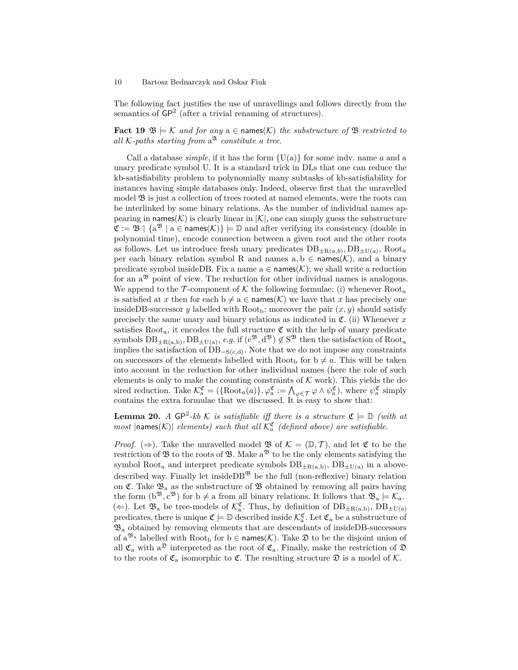The following fact justifies the use of unravellings and follows directly from the semantics of  $\mathsf{GP}^2$  (after a trivial renaming of structures).

**Fact 19**  $\mathfrak{B} \models \mathcal{K}$  and for any  $a \in \mathsf{names}(\mathcal{K})$  the substructure of  $\mathfrak{B}$  restricted to all  $K$ -paths starting from  $a^{\mathfrak{A}}$  constitute a tree.

Call a database *simple*, if it has the form  $\{U(a)\}\$ for some indv. name *a* and a unary predicate symbol U. It is a standard trick in DLs that one can reduce the kb-satisfiability problem to polynomially many subtasks of kb-satisfiability for instances having simple databases only. Indeed, observe first that the unravelled model B is just a collection of trees rooted at named elements, were the roots can be interlinked by some binary relations. As the number of individual names appearing in names( $K$ ) is clearly linear in  $|K|$ , one can simply guess the substructure  $\mathfrak{C} := \mathfrak{B} \setminus \{a^{\mathfrak{B}} \mid a \in \mathsf{names}(\mathcal{K})\} \models \mathbb{D}$  and after verifying its consistency (doable in polynomial time), encode connection between a given root and the other roots as follows. Let us introduce fresh unary predicates  $DB_{\pm R(a,b)}, DB_{\pm U(a)}, Root_a$ per each binary relation symbol R and names  $a, b \in \text{names}(\mathcal{K})$ , and a binary predicate symbol insideDB. Fix a name  $a \in \text{names}(\mathcal{K})$ ; we shall write a reduction for an  $a^{38}$  point of view. The reduction for other individual names is analogous. We append to the  $\mathcal T$ -component of  $\mathcal K$  the following formulae: (i) whenever  $Root_a$ is satisfied at *x* then for each  $b \neq a \in \text{names}(\mathcal{K})$  we have that *x* has precisely one insideDB-successor *y* labelled with Root<sub>b</sub>; moreover the pair  $(x, y)$  should satisfy precisely the same unary and binary relations as indicated in  $\mathfrak{C}$ . (ii) Whenever *x* satisfies Root<sub>a</sub>, it encodes the full structure  $\mathfrak C$  with the help of unary predicate symbols  $DB_{\pm R(a,b)}, DB_{\pm U(a)}, e.g.$  if  $(c^{3}, d^{3}) \notin S^{3}$  then the satisfaction of Root<sub>a</sub> implies the satisfaction of DB<sup>−</sup>S(c*,*d). Note that we do not impose any constraints on successors of the elements labelled with Root<sub>b</sub> for  $b \neq a$ . This will be taken into account in the reduction for other individual names (here the role of such elements is only to make the counting constraints of  $K$  work). This yields the desired reduction. Take  $\mathcal{K}_{a}^{\mathfrak{C}} = (\{\text{Root}_{a}(a)\}, \varphi_{a}^{\mathfrak{C}}) = \bigwedge_{\varphi \in \mathcal{T}} \varphi \wedge \psi_{a}^{\mathfrak{C}}\big)$ , where  $\psi_{a}^{\mathfrak{C}}$  simply contains the extra formulae that we discussed. It is easy to show that:

**Lemma 20.** *A* GP<sup>2</sup>-kb K *is satisfiable iff there is a structure*  $\mathfrak{C} \models \mathbb{D}$  *(with at*  $most$   $|\textsf{names}(\mathcal{K})|$  *elements)* such that all  $\mathcal{K}_a^{\mathfrak{C}}$  (defined above) are satisfiable.

*Proof.* ( $\Rightarrow$ ). Take the unravelled model **B** of  $\mathcal{K} = (\mathbb{D}, \mathcal{T})$ , and let **C** to be the restriction of  $\mathfrak B$  to the roots of  $\mathfrak B$ . Make  $a^{\mathfrak B}$  to be the only elements satisfying the symbol Root<sub>a</sub> and interpret predicate symbols  $DB_{\pm R(a,b)}$ ,  $DB_{\pm U(a)}$  in a abovedescribed way. Finally let inside  $DB^{\mathfrak{B}}$  be the full (non-reflexive) binary relation on  $\mathfrak{C}$ . Take  $\mathfrak{B}_a$  as the substructure of  $\mathfrak B$  obtained by removing all pairs having the form  $(b^{38}, c^{38})$  for  $b \neq a$  from all binary relations. It follows that  $\mathfrak{B}_a \models \mathcal{K}_a$ . ( $\Leftarrow$ ). Let  $\mathfrak{B}_a$  be tree-models of  $\mathcal{K}_a^{\mathfrak{C}}$ . Thus, by definition of  $DB_{\pm R(a,b)}$ ,  $DB_{\pm U(a)}$ predicates, there is unique  $\mathfrak{C} \models \mathbb{D}$  described inside  $\mathcal{K}_a^{\mathfrak{C}}$ . Let  $\mathfrak{C}_a$  be a substructure of  $\mathfrak{B}_a$  obtained by removing elements that are descendants of insideDB-successors of  $a^{\mathfrak{B}_a}$  labelled with  $Root_b$  for  $b \in \mathsf{names}(\mathcal{K})$ . Take  $\mathfrak D$  to be the disjoint union of all  $\mathfrak{C}_a$  with  $a^{\mathfrak{D}}$  interpreted as the root of  $\mathfrak{C}_a$ . Finally, make the restriction of  $\mathfrak D$ to the roots of  $\mathfrak{C}_a$  isomorphic to  $\mathfrak{C}$ . The resulting structure  $\mathfrak{D}$  is a model of  $\mathcal{K}$ .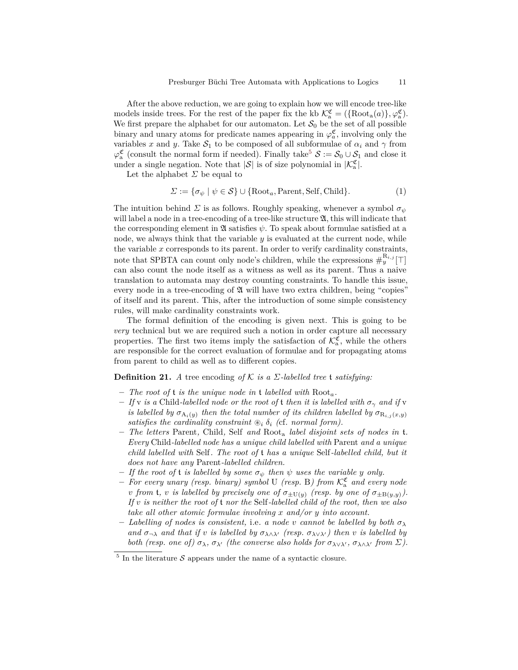After the above reduction, we are going to explain how we will encode tree-like models inside trees. For the rest of the paper fix the kb  $\mathcal{K}_{a}^{\mathfrak{C}} = (\{\text{Root}_{a}(a)\}, \varphi_{a}^{\mathfrak{C}}).$ We first prepare the alphabet for our automaton. Let  $S_0$  be the set of all possible binary and unary atoms for predicate names appearing in  $\varphi_a^{\mathfrak{C}}$ , involving only the variables *x* and *y*. Take  $S_1$  to be composed of all subformulae of  $\alpha_i$  and  $\gamma$  from  $\varphi_a^{\mathfrak{C}}$  (consult the normal form if needed). Finally take<sup>[5](#page-10-0)</sup>  $S := S_0 \cup S_1$  and close it under a single negation. Note that  $|S|$  is of size polynomial in  $|\mathcal{K}_{a}^{\mathfrak{C}}|$ .

Let the alphabet  $\Sigma$  be equal to

<span id="page-10-2"></span>
$$
\Sigma := \{ \sigma_{\psi} \mid \psi \in \mathcal{S} \} \cup \{ \text{Root}_a, \text{Parent}, \text{Self}, \text{Child} \}. \tag{1}
$$

The intuition behind  $\Sigma$  is as follows. Roughly speaking, whenever a symbol  $\sigma_{\psi}$ will label a node in a tree-encoding of a tree-like structure  $\mathfrak{A}$ , this will indicate that the corresponding element in  $\mathfrak A$  satisfies  $\psi$ . To speak about formulae satisfied at a node, we always think that the variable *y* is evaluated at the current node, while the variable *x* corresponds to its parent. In order to verify cardinality constraints, note that SPBTA can count only node's children, while the expressions  $\#_{y}^{\mathbb{R}_{i,j}}[\top]$ can also count the node itself as a witness as well as its parent. Thus a naive translation to automata may destroy counting constraints. To handle this issue, every node in a tree-encoding of  $\mathfrak A$  will have two extra children, being "copies" of itself and its parent. This, after the introduction of some simple consistency rules, will make cardinality constraints work.

The formal definition of the encoding is given next. This is going to be *very* technical but we are required such a notion in order capture all necessary properties. The first two items imply the satisfaction of  $\mathcal{K}_{a}^{\mathfrak{C}}$ , while the others are responsible for the correct evaluation of formulae and for propagating atoms from parent to child as well as to different copies.

## <span id="page-10-1"></span>**Definition 21.** *A* tree encoding *of*  $K$  *is a*  $\Sigma$ *-labelled tree t satisfying:*

- **–** *The root of* t *is the unique node in* t *labelled with* Root*a.*
- $-$  *If* v *is a* Child-labelled node or the root of t then it is labelled with  $\sigma_{\gamma}$  and if v *is labelled by*  $\sigma_{A_i(y)}$  then the total number of its children labelled by  $\sigma_{R_{i,j}(x,y)}$ *satisfies the cardinality constraint*  $\mathcal{B}_i$   $\delta_i$  (cf. normal form).
- **–** *The letters* Parent*,* Child*,* Self *and* Root<sup>a</sup> *label disjoint sets of nodes in* t*. Every* Child*-labelled node has a unique child labelled with* Parent *and a unique child labelled with* Self*. The root of* t *has a unique* Self*-labelled child, but it does not have any* Parent*-labelled children.*
- $-$  *If the root of* **t** *is labelled by some*  $\sigma_{\psi}$  *then*  $\psi$  *uses the variable y only.*
- $-$  *For every unary (resp. binary) symbol* U *(resp.* B*)* from  $\mathcal{K}_{a}^{\mathfrak{C}}$  *and every node v* from **t**, *v is labelled by precisely one of*  $\sigma_{\pm}$ U(*y*) (*resp. by one of*  $\sigma_{\pm}$ B(*y,y*)). *If v is neither the root of* t *nor the* Self*-labelled child of the root, then we also take all other atomic formulae involving x and/or y into account.*
- $-$  *Labelling of nodes is consistent, i.e. a node v cannot be labelled by both*  $\sigma_{\lambda}$ *and*  $\sigma_{\neg\lambda}$  *and that if v is labelled by*  $\sigma_{\lambda \wedge \lambda'}$  *(resp.*  $\sigma_{\lambda \vee \lambda'}$ *) then v is labelled by both (resp. one of)*  $\sigma_{\lambda}$ *,*  $\sigma_{\lambda'}$  *(the converse also holds for*  $\sigma_{\lambda\vee\lambda'}$ *,*  $\sigma_{\lambda\wedge\lambda'}$  *from*  $\Sigma$ *).*

<span id="page-10-0"></span> $5$  In the literature  $S$  appears under the name of a syntactic closure.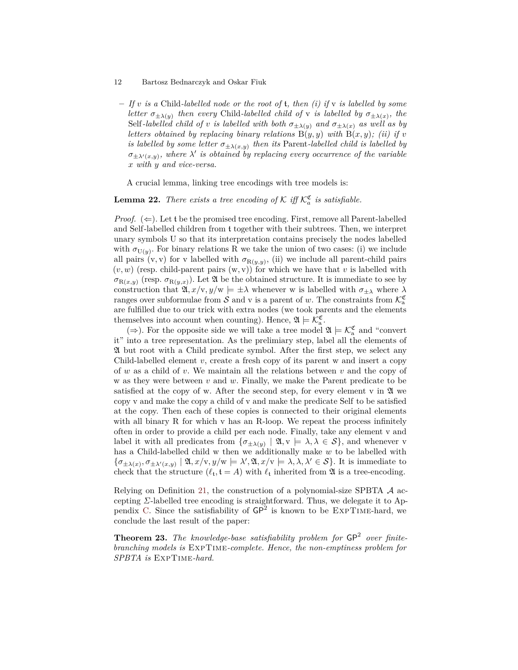**–** *If v is a* Child*-labelled node or the root of* t*, then (i) if* v *is labelled by some letter*  $\sigma_{\pm\lambda(y)}$  *then every* Child-labelled child of v *is labelled by*  $\sigma_{\pm\lambda(x)}$ , *the* Self-labelled child of *v* is labelled with both  $\sigma_{\pm\lambda(y)}$  and  $\sigma_{\pm\lambda(x)}$  as well as by *letters obtained by replacing binary relations*  $B(y, y)$  *with*  $B(x, y)$ *; (ii) if v is labelled by some letter*  $\sigma_{\pm\lambda(x,y)}$  *then its* Parent-*labelled child is labelled by*  $\sigma_{\pm\lambda'(x,y)}$ , where  $\lambda'$  is obtained by replacing every occurrence of the variable *x with y and vice-versa.*

A crucial lemma, linking tree encodings with tree models is:

**Lemma 22.** *There exists a tree encoding of*  $K$  *iff*  $K_a^{\mathfrak{C}}$  *is satisfiable.* 

*Proof.*  $(\Leftarrow)$ . Let t be the promised tree encoding. First, remove all Parent-labelled and Self-labelled children from t together with their subtrees. Then, we interpret unary symbols U so that its interpretation contains precisely the nodes labelled with  $\sigma_{U(y)}$ . For binary relations R we take the union of two cases: (i) we include all pairs  $(v, v)$  for v labelled with  $\sigma_{R(y,y)}$ , (ii) we include all parent-child pairs  $(v, w)$  (resp. child-parent pairs  $(w, v)$ ) for which we have that *v* is labelled with  $\sigma_{R(x,y)}$  (resp.  $\sigma_{R(y,x)}$ ). Let  $\mathfrak A$  be the obtained structure. It is immediate to see by construction that  $\mathfrak{A}, x/\mathbf{v}, y/\mathbf{w} \models \pm \lambda$  whenever w is labelled with  $\sigma_{\pm\lambda}$  where  $\lambda$ ranges over subformulae from  $S$  and v is a parent of *w*. The constraints from  $\mathcal{K}_a^{\mathfrak{C}}$ are fulfilled due to our trick with extra nodes (we took parents and the elements themselves into account when counting). Hence,  $\mathfrak{A} \models \mathcal{K}_{a}^{\mathfrak{C}}$ .

(⇒). For the opposite side we will take a tree model  $\mathfrak{A} \models \mathcal{K}_a^{\mathfrak{C}}$  and "convert it" into a tree representation. As the prelimiary step, label all the elements of A but root with a Child predicate symbol. After the first step, we select any Child-labelled element *v*, create a fresh copy of its parent w and insert a copy of *w* as a child of *v*. We maintain all the relations between *v* and the copy of w as they were between *v* and *w*. Finally, we make the Parent predicate to be satisfied at the copy of w. After the second step, for every element  $v$  in  $\mathfrak A$  we copy v and make the copy a child of v and make the predicate Self to be satisfied at the copy. Then each of these copies is connected to their original elements with all binary R for which v has an R-loop. We repeat the process infinitely often in order to provide a child per each node. Finally, take any element v and label it with all predicates from  $\{\sigma_{\pm\lambda(y)} \mid \mathfrak{A}, \mathbf{v} \models \lambda, \lambda \in \mathcal{S}\}$ , and whenever v has a Child-labelled child w then we additionally make *w* to be labelled with  $\{\sigma_{\pm\lambda(x)}, \sigma_{\pm\lambda'(x,y)} \mid \mathfrak{A}, x/v, y/w \models \lambda', \mathfrak{A}, x/v \models \lambda, \lambda, \lambda' \in \mathcal{S}\}.$  It is immediate to check that the structure  $(\ell_t, t = A)$  with  $\ell_t$  inherited from  $\mathfrak{A}$  is a tree-encoding.

Relying on Definition [21,](#page-10-1) the construction of a polynomial-size SPBTA  $\mathcal A$  accepting *Σ*-labelled tree encoding is straightforward. Thus, we delegate it to Ap-pendix [C.](#page-15-0) Since the satisfiability of  $\mathsf{GP}^2$  is known to be EXPTIME-hard, we conclude the last result of the paper:

**Theorem 23.** The knowledge-base satisfiability problem for  $\mathsf{GP}^2$  over finite*branching models is* ExpTime*-complete. Hence, the non-emptiness problem for SPBTA is* ExpTime*-hard.*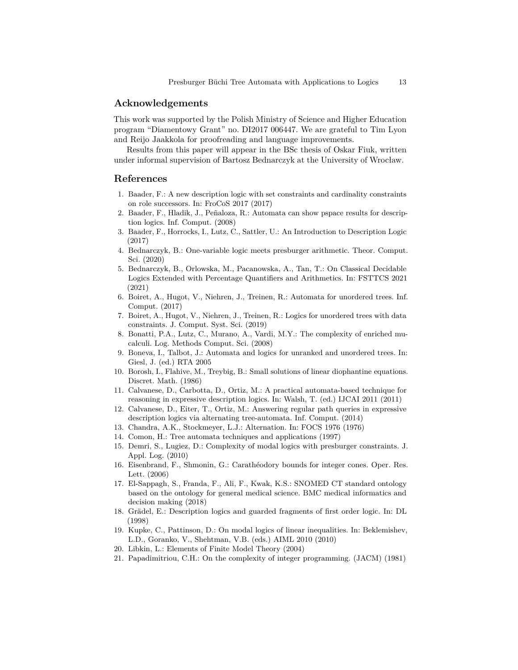## **Acknowledgements**

This work was supported by the Polish Ministry of Science and Higher Education program "Diamentowy Grant" no. DI2017 006447. We are grateful to Tim Lyon and Reijo Jaakkola for proofreading and language improvements.

Results from this paper will appear in the BSc thesis of Oskar Fiuk, written under informal supervision of Bartosz Bednarczyk at the University of Wrocław.

## **References**

- <span id="page-12-2"></span>1. Baader, F.: A new description logic with set constraints and cardinality constraints on role successors. In: FroCoS 2017 (2017)
- <span id="page-12-6"></span>2. Baader, F., Hladik, J., Peñaloza, R.: Automata can show pspace results for description logics. Inf. Comput. (2008)
- <span id="page-12-0"></span>3. Baader, F., Horrocks, I., Lutz, C., Sattler, U.: An Introduction to Description Logic (2017)
- <span id="page-12-14"></span>4. Bednarczyk, B.: One-variable logic meets presburger arithmetic. Theor. Comput. Sci. (2020)
- <span id="page-12-5"></span>5. Bednarczyk, B., Orlowska, M., Pacanowska, A., Tan, T.: On Classical Decidable Logics Extended with Percentage Quantifiers and Arithmetics. In: FSTTCS 2021 (2021)
- <span id="page-12-11"></span>6. Boiret, A., Hugot, V., Niehren, J., Treinen, R.: Automata for unordered trees. Inf. Comput. (2017)
- <span id="page-12-10"></span>7. Boiret, A., Hugot, V., Niehren, J., Treinen, R.: Logics for unordered trees with data constraints. J. Comput. Syst. Sci. (2019)
- <span id="page-12-12"></span>8. Bonatti, P.A., Lutz, C., Murano, A., Vardi, M.Y.: The complexity of enriched mucalculi. Log. Methods Comput. Sci. (2008)
- <span id="page-12-9"></span>9. Boneva, I., Talbot, J.: Automata and logics for unranked and unordered trees. In: Giesl, J. (ed.) RTA 2005
- <span id="page-12-15"></span>10. Borosh, I., Flahive, M., Treybig, B.: Small solutions of linear diophantine equations. Discret. Math. (1986)
- <span id="page-12-7"></span>11. Calvanese, D., Carbotta, D., Ortiz, M.: A practical automata-based technique for reasoning in expressive description logics. In: Walsh, T. (ed.) IJCAI 2011 (2011)
- <span id="page-12-8"></span>12. Calvanese, D., Eiter, T., Ortiz, M.: Answering regular path queries in expressive description logics via alternating tree-automata. Inf. Comput. (2014)
- <span id="page-12-18"></span>13. Chandra, A.K., Stockmeyer, L.J.: Alternation. In: FOCS 1976 (1976)
- <span id="page-12-13"></span>14. Comon, H.: Tree automata techniques and applications (1997)
- <span id="page-12-3"></span>15. Demri, S., Lugiez, D.: Complexity of modal logics with presburger constraints. J. Appl. Log. (2010)
- <span id="page-12-16"></span>16. Eisenbrand, F., Shmonin, G.: Carathéodory bounds for integer cones. Oper. Res. Lett. (2006)
- <span id="page-12-1"></span>17. El-Sappagh, S., Franda, F., Ali, F., Kwak, K.S.: SNOMED CT standard ontology based on the ontology for general medical science. BMC medical informatics and decision making (2018)
- <span id="page-12-20"></span>18. Grädel, E.: Description logics and guarded fragments of first order logic. In: DL (1998)
- <span id="page-12-4"></span>19. Kupke, C., Pattinson, D.: On modal logics of linear inequalities. In: Beklemishev, L.D., Goranko, V., Shehtman, V.B. (eds.) AIML 2010 (2010)
- <span id="page-12-19"></span>20. Libkin, L.: Elements of Finite Model Theory (2004)
- <span id="page-12-17"></span>21. Papadimitriou, C.H.: On the complexity of integer programming. (JACM) (1981)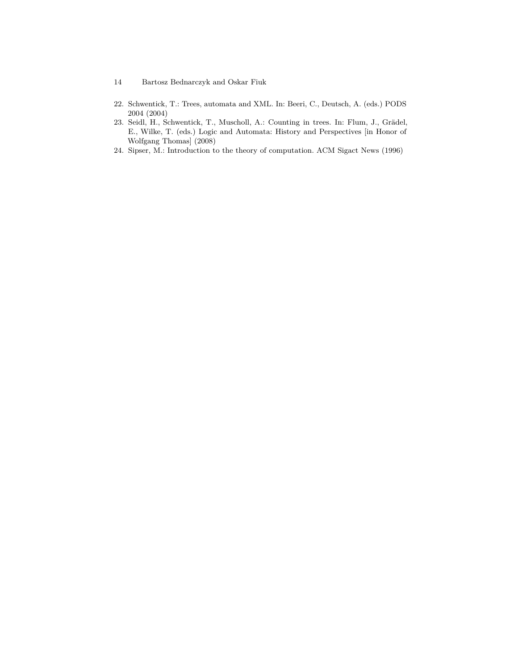- 14 Bartosz Bednarczyk and Oskar Fiuk
- <span id="page-13-0"></span>22. Schwentick, T.: Trees, automata and XML. In: Beeri, C., Deutsch, A. (eds.) PODS 2004 (2004)
- <span id="page-13-1"></span>23. Seidl, H., Schwentick, T., Muscholl, A.: Counting in trees. In: Flum, J., Grädel, E., Wilke, T. (eds.) Logic and Automata: History and Perspectives [in Honor of Wolfgang Thomas] (2008)
- <span id="page-13-2"></span>24. Sipser, M.: Introduction to the theory of computation. ACM Sigact News (1996)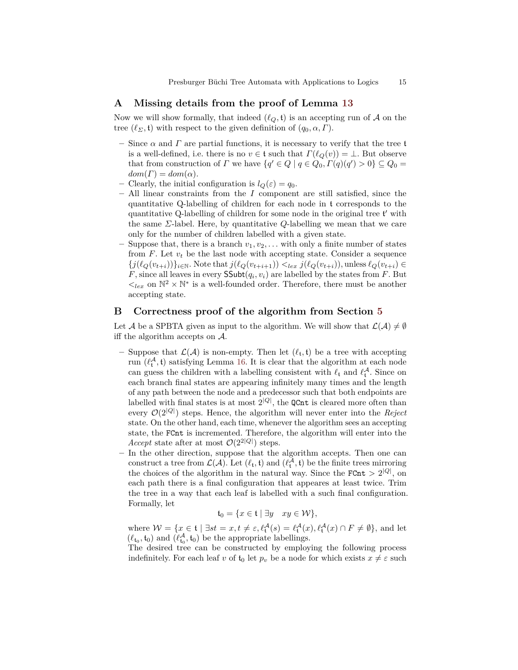# <span id="page-14-0"></span>**A Missing details from the proof of Lemma [13](#page-5-1)**

Now we will show formally, that indeed  $(\ell_Q, \mathfrak{t})$  is an accepting run of A on the tree  $(\ell_{\Sigma}, \mathfrak{t})$  with respect to the given definition of  $(q_0, \alpha, \Gamma)$ .

- Since  $\alpha$  and  $\Gamma$  are partial functions, it is necessary to verify that the tree t is a well-defined, i.e. there is no  $v \in \mathfrak{t}$  such that  $\Gamma(\ell_Q(v)) = \bot$ . But observe that from construction of *Γ* we have  $\{q' \in Q \mid q \in Q_0, \Gamma(q)(q') > 0\} \subseteq Q_0$  =  $dom(\Gamma) = dom(\alpha)$ .
- $-$  Clearly, the initial configuration is  $l_Q(\varepsilon) = q_0$ .
- **–** All linear constraints from the *I* component are still satisfied, since the quantitative Q-labelling of children for each node in t corresponds to the quantitative Q-labelling of children for some node in the original tree  $t'$  with the same *Σ*-label. Here, by quantitative *Q*-labelling we mean that we care only for the number of children labelled with a given state.
- **–** Suppose that, there is a branch *v*1*, v*2*, . . .* with only a finite number of states from  $F$ . Let  $v_t$  be the last node with accepting state. Consider a sequence  $\{j(\ell_Q(v_{t+i}))\}_{i\in\mathbb{N}}$ . Note that  $j(\ell_Q(v_{t+i+1})) <_{lex} j(\ell_Q(v_{t+i}))$ , unless  $\ell_Q(v_{t+i}) \in$ *F*, since all leaves in every  $\mathsf{SSubt}(q_i, v_i)$  are labelled by the states from *F*. But  $\lt_{lex}$  on  $\mathbb{N}^2 \times \mathbb{N}^*$  is a well-founded order. Therefore, there must be another accepting state.

# <span id="page-14-1"></span>**B Correctness proof of the algorithm from Section [5](#page-6-2)**

Let A be a SPBTA given as input to the algorithm. We will show that  $\mathcal{L}(\mathcal{A}) \neq \emptyset$ iff the algorithm accepts on A.

- Suppose that  $\mathcal{L}(\mathcal{A})$  is non-empty. Then let  $(\ell_t, \mathfrak{t})$  be a tree with accepting run  $(\ell_t^{\mathcal{A}}, \mathfrak{t})$  satisfying Lemma [16.](#page-6-0) It is clear that the algorithm at each node can guess the children with a labelling consistent with  $\ell_t$  and  $\ell_t^{\mathcal{A}}$ . Since on each branch final states are appearing infinitely many times and the length of any path between the node and a predecessor such that both endpoints are labelled with final states is at most  $2^{|Q|}$ , the **QCnt** is cleared more often than every O(2<sup>|</sup>*Q*<sup>|</sup> ) steps. Hence, the algorithm will never enter into the *Reject* state. On the other hand, each time, whenever the algorithm sees an accepting state, the FCnt is incremented. Therefore, the algorithm will enter into the *Accept* state after at most  $\mathcal{O}(2^{2|Q|})$  steps.
- **–** In the other direction, suppose that the algorithm accepts. Then one can construct a tree from  $\mathcal{L}(\mathcal{A})$ . Let  $(\ell_t, \mathfrak{t})$  and  $(\ell_t^{\mathcal{A}}, \mathfrak{t})$  be the finite trees mirroring the choices of the algorithm in the natural way. Since the  $FCnt > 2^{|Q|}$ , on each path there is a final configuration that appeares at least twice. Trim the tree in a way that each leaf is labelled with a such final configuration. Formally, let

 $t_0 = \{x \in \mathfrak{t} \mid \exists y \quad xy \in \mathcal{W}\},\$ 

where  $W = \{x \in \mathfrak{t} \mid \exists st = x, t \neq \varepsilon, \ell_{\mathfrak{t}}^{\mathcal{A}}(s) = \ell_{\mathfrak{t}}^{\mathcal{A}}(x), \ell_{\mathfrak{t}}^{\mathcal{A}}(x) \cap F \neq \emptyset\}$ , and let  $(\ell_{\mathfrak{t}_0}, \mathfrak{t}_0)$  and  $(\ell_{\mathfrak{t}_0}^{\mathcal{A}}, \mathfrak{t}_0)$  be the appropriate labellings.

The desired tree can be constructed by employing the following process indefinitely. For each leaf *v* of  $t_0$  let  $p_v$  be a node for which exists  $x \neq \varepsilon$  such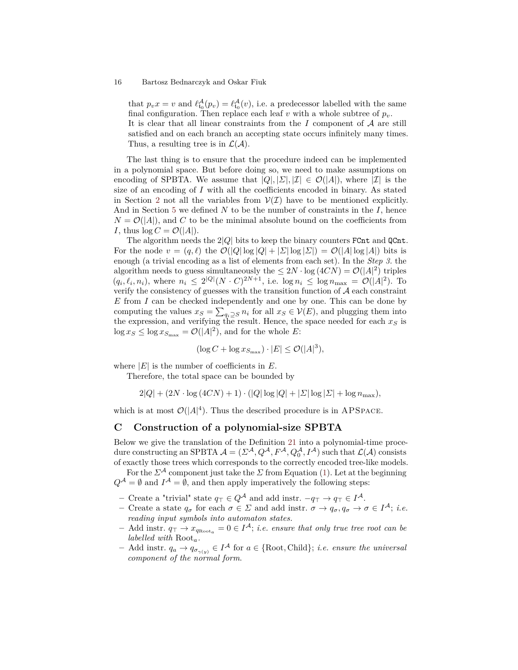that  $p_v x = v$  and  $\ell_{t_0}^{\mathcal{A}}(p_v) = \ell_{t_0}^{\mathcal{A}}(v)$ , i.e. a predecessor labelled with the same final configuration. Then replace each leaf  $v$  with a whole subtree of  $p_v$ . It is clear that all linear constraints from the *I* component of A are still satisfied and on each branch an accepting state occurs infinitely many times. Thus, a resulting tree is in  $\mathcal{L}(\mathcal{A})$ .

The last thing is to ensure that the procedure indeed can be implemented in a polynomial space. But before doing so, we need to make assumptions on encoding of SPBTA. We assume that  $|Q|, |\Sigma|, |\mathcal{I}| \in \mathcal{O}(|A|)$ , where  $|\mathcal{I}|$  is the size of an encoding of *I* with all the coefficients encoded in binary. As stated in Section [2](#page-1-1) not all the variables from  $V(\mathcal{I})$  have to be mentioned explicitly. And in Section [5](#page-6-2) we defined *N* to be the number of constraints in the *I*, hence  $N = \mathcal{O}(|A|)$ , and *C* to be the minimal absolute bound on the coefficients from *I*, thus  $\log C = \mathcal{O}(|A|)$ .

The algorithm needs the  $2|Q|$  bits to keep the binary counters FCnt and QCnt. For the node  $v = (q, \ell)$  the  $\mathcal{O}(|Q|\log|Q| + |\Sigma|\log|\Sigma|) = \mathcal{O}(|A|\log|A|)$  bits is enough (a trivial encoding as a list of elements from each set). In the *Step 3.* the algorithm needs to guess simultaneously the  $\leq 2N \cdot \log (4CN) = \mathcal{O}(|A|^2)$  triples  $(q_i, \ell_i, n_i)$ , where  $n_i \leq 2^{|Q|}(N \cdot C)^{2N+1}$ , i.e.  $\log n_i \leq \log n_{\max} = \mathcal{O}(|A|^2)$ . To verify the consistency of guesses with the transition function of  $A$  each constraint *E* from *I* can be checked independently and one by one. This can be done by computing the values  $x_S = \sum_{q_i \supseteq S} n_i$  for all  $x_S \in V(E)$ , and plugging them into the expression, and verifying the result. Hence, the space needed for each *x<sup>S</sup>* is  $\log x_S \leq \log x_{S_{\text{max}}} = \mathcal{O}(|A|^2)$ , and for the whole *E*:

$$
(\log C + \log x_{S_{\max}}) \cdot |E| \leq \mathcal{O}(|A|^3),
$$

where  $|E|$  is the number of coefficients in  $E$ .

Therefore, the total space can be bounded by

 $2|Q| + (2N \cdot \log{(4CN)} + 1) \cdot (|Q| \log{|Q|} + |\Sigma| \log{|\Sigma|} + \log{n_{\max}})$ 

which is at most  $\mathcal{O}(|A|^4)$ . Thus the described procedure is in APSPACE.

## <span id="page-15-0"></span>**C Construction of a polynomial-size SPBTA**

Below we give the translation of the Definition [21](#page-10-1) into a polynomial-time procedure constructing an SPBTA  $A = (\Sigma^{\mathcal{A}}, Q^{\mathcal{A}}, F^{\mathcal{A}}, Q_0^{\mathcal{A}}, I^{\mathcal{A}})$  such that  $\mathcal{L}(\mathcal{A})$  consists of exactly those trees which corresponds to the correctly encoded tree-like models.

For the  $\Sigma^{\mathcal{A}}$  component just take the  $\Sigma$  from Equation [\(1\)](#page-10-2). Let at the beginning  $Q^{\mathcal{A}} = \emptyset$  and  $I^{\mathcal{A}} = \emptyset$ , and then apply imperatively the following steps:

- **–** Create a "trivial" state  $q<sub>T</sub> ∈ Q<sup>A</sup>$  and add instr.  $-q<sub>T</sub> → q<sub>T</sub> ∈ I<sup>A</sup>$ .
- **–** Create a state *q<sup>σ</sup>* for each *σ* ∈ *Σ* and add instr. *σ* → *qσ, q<sup>σ</sup>* → *σ* ∈ *I* <sup>A</sup>; *i.e. reading input symbols into automaton states.*
- $−$  Add instr.  $q_{\top}$   $→$   $x_{q_{\text{Root}_a}}$  = 0 ∈  $I^{\mathcal{A}}$ ; *i.e. ensure that only true tree root can be labelled with* Root*a.*
- $−$  Add instr.  $q_a → q_{σ_{γ(y)}} ∈ I^{\mathcal{A}}$  for  $a ∈ \{\text{Root}, \text{Child}\}; i.e.$  ensure the universal *component of the normal form*.